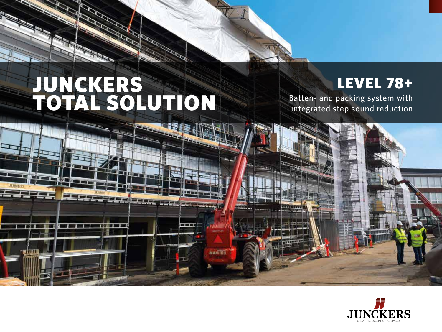# JUNCKERS TOTAL SOLUTION

## LEVEL 78+

Batten- and packing system with integrated step sound reduction



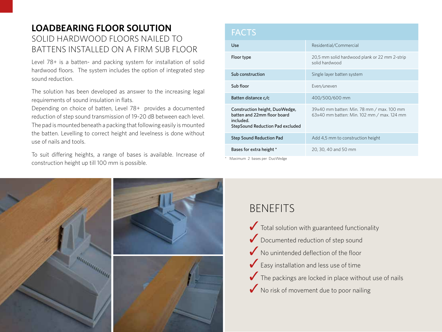#### **LOADBEARING FLOOR SOLUTION** SOLID HARDWOOD FLOORS NAILED TO BATTENS INSTALLED ON A FIRM SUB FLOOR

Level 78+ is a batten- and packing system for installation of solid hardwood floors. The system includes the option of integrated step sound reduction.

The solution has been developed as answer to the increasing legal requirements of sound insulation in flats.

Depending on choice of batten, Level 78+ provides a documented reduction of step sound transmission of 19-20 dB between each level. The pad is mounted beneath a packing that following easily is mounted the batten. Levelling to correct height and levelness is done without use of nails and tools.

To suit differing heights, a range of bases is available. Increase of construction height up till 100 mm is possible.

| <b>FACTS</b>                                                                                                   |                                                                                         |  |  |  |
|----------------------------------------------------------------------------------------------------------------|-----------------------------------------------------------------------------------------|--|--|--|
| Use                                                                                                            | Residential/Commercial                                                                  |  |  |  |
| Floor type                                                                                                     | 20,5 mm solid hardwood plank or 22 mm 2-strip<br>solid hardwood                         |  |  |  |
| Sub construction                                                                                               | Single layer batten system                                                              |  |  |  |
| Sub floor                                                                                                      | Even/uneven                                                                             |  |  |  |
| Batten distance c/c                                                                                            | 400/500/600 mm                                                                          |  |  |  |
| Construction height, DuoWedge,<br>batten and 22mm floor board<br>included.<br>StepSound Reduction Pad excluded | 39x40 mm batten: Min. 78 mm / max. 100 mm<br>63x40 mm batten: Min. 102 mm / max. 124 mm |  |  |  |
| <b>Step Sound Reduction Pad</b>                                                                                | Add 4,5 mm to construction height                                                       |  |  |  |
| Bases for extra height *                                                                                       | 20, 30, 40 and 50 mm                                                                    |  |  |  |

Maximum 2 bases per DuoWedge



### BENEFITS

 $\bigvee$  Total solution with guaranteed functionality ◆ Documented reduction of step sound ◆ No unintended deflection of the floor  $\blacktriangleright$  Easy installation and less use of time  $\blacktriangleright$  The packings are locked in place without use of nails ◆ No risk of movement due to poor nailing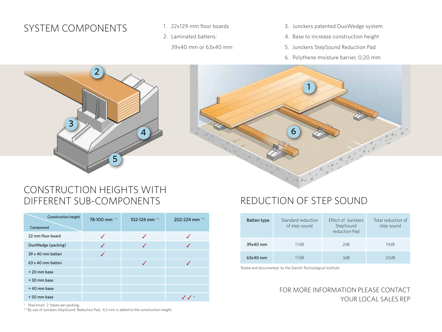#### SYSTEM COMPONENTS 1. 22x129 mm floor boards

- 
- 2. Laminated battens:
	- 39x40 mm or 63x40 mm
- 3. Junckers patented DuoWedge system
- 4. Base to increase construction height
- 5. Junckers StepSound Reduction Pad
- 6. Polythene moisture barrier, 0,20 mm.





#### CONSTRUCTION HEIGHTS WITH DIFFERENT SUB-COMPONENTS

| <b>Construction height</b><br>Component | 78-100 mm <sup>**</sup> | 102-124 mm $**$ | 202-224 mm <sup>**</sup> |
|-----------------------------------------|-------------------------|-----------------|--------------------------|
|                                         |                         |                 |                          |
| 22 mm floor board                       |                         |                 |                          |
| DuoWedge (packing)                      |                         | ✔               |                          |
| 39 x 40 mm batten                       | J                       |                 |                          |
| 63 x 40 mm batten                       |                         |                 |                          |
| +20 mm base                             |                         |                 |                          |
| +30 mm base                             |                         |                 |                          |
| +40 mm base                             |                         |                 |                          |
| +50 mm base                             |                         |                 |                          |

#### REDUCTION OF STEP SOUND

| Batten type | Standard reduction<br>of step sound | <b>Fffect of Junckers</b><br>StepSound<br>reduction Pad | Total reduction of<br>step sound |
|-------------|-------------------------------------|---------------------------------------------------------|----------------------------------|
| 39x40 mm    | 17dB                                | 2dB                                                     | 19dB                             |
| $63x40$ mm  | 17dB                                | 3dB                                                     | 20dB                             |

Tested and documented by the Danish Technological Institute

#### FOR MORE INFORMATION PLEASE CONTACT YOUR LOCAL SALES REP

\* Maximum 2 bases per packing.

\*\* By use of Junckers StepSound Reduction Pad, 4,5 mm is added to the construction height.